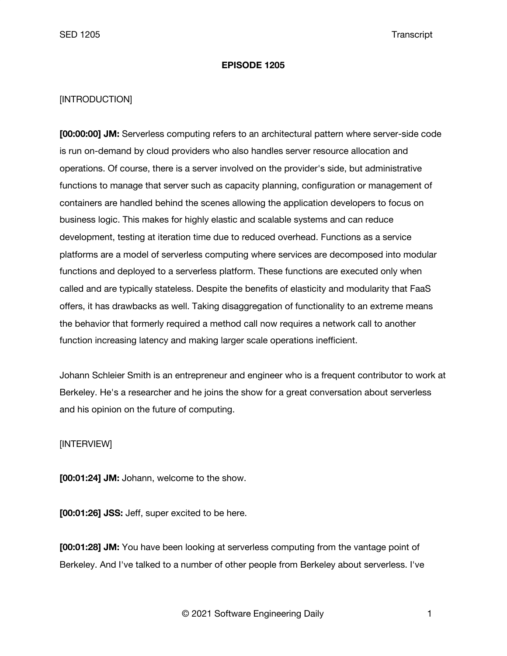## **EPISODE 1205**

## [INTRODUCTION]

**[00:00:00] JM:** Serverless computing refers to an architectural pattern where server-side code is run on-demand by cloud providers who also handles server resource allocation and operations. Of course, there is a server involved on the provider's side, but administrative functions to manage that server such as capacity planning, configuration or management of containers are handled behind the scenes allowing the application developers to focus on business logic. This makes for highly elastic and scalable systems and can reduce development, testing at iteration time due to reduced overhead. Functions as a service platforms are a model of serverless computing where services are decomposed into modular functions and deployed to a serverless platform. These functions are executed only when called and are typically stateless. Despite the benefits of elasticity and modularity that FaaS offers, it has drawbacks as well. Taking disaggregation of functionality to an extreme means the behavior that formerly required a method call now requires a network call to another function increasing latency and making larger scale operations inefficient.

Johann Schleier Smith is an entrepreneur and engineer who is a frequent contributor to work at Berkeley. He's a researcher and he joins the show for a great conversation about serverless and his opinion on the future of computing.

[INTERVIEW]

**[00:01:24] JM:** Johann, welcome to the show.

**[00:01:26] JSS:** Jeff, super excited to be here.

**[00:01:28] JM:** You have been looking at serverless computing from the vantage point of Berkeley. And I've talked to a number of other people from Berkeley about serverless. I've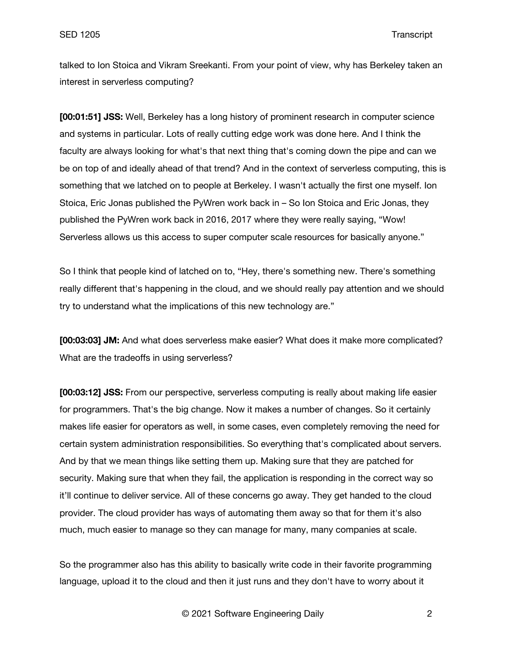talked to Ion Stoica and Vikram Sreekanti. From your point of view, why has Berkeley taken an interest in serverless computing?

**[00:01:51] JSS:** Well, Berkeley has a long history of prominent research in computer science and systems in particular. Lots of really cutting edge work was done here. And I think the faculty are always looking for what's that next thing that's coming down the pipe and can we be on top of and ideally ahead of that trend? And in the context of serverless computing, this is something that we latched on to people at Berkeley. I wasn't actually the first one myself. Ion Stoica, Eric Jonas published the PyWren work back in – So Ion Stoica and Eric Jonas, they published the PyWren work back in 2016, 2017 where they were really saying, "Wow! Serverless allows us this access to super computer scale resources for basically anyone."

So I think that people kind of latched on to, "Hey, there's something new. There's something really different that's happening in the cloud, and we should really pay attention and we should try to understand what the implications of this new technology are."

**[00:03:03] JM:** And what does serverless make easier? What does it make more complicated? What are the tradeoffs in using serverless?

**[00:03:12] JSS:** From our perspective, serverless computing is really about making life easier for programmers. That's the big change. Now it makes a number of changes. So it certainly makes life easier for operators as well, in some cases, even completely removing the need for certain system administration responsibilities. So everything that's complicated about servers. And by that we mean things like setting them up. Making sure that they are patched for security. Making sure that when they fail, the application is responding in the correct way so it'll continue to deliver service. All of these concerns go away. They get handed to the cloud provider. The cloud provider has ways of automating them away so that for them it's also much, much easier to manage so they can manage for many, many companies at scale.

So the programmer also has this ability to basically write code in their favorite programming language, upload it to the cloud and then it just runs and they don't have to worry about it

© 2021 Software Engineering Daily 2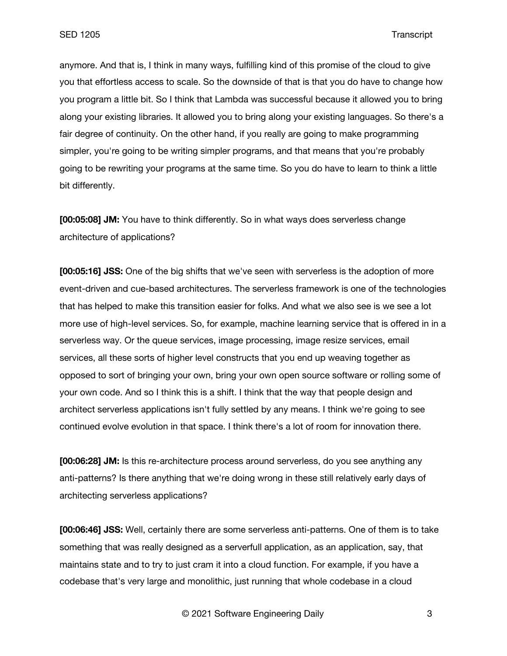anymore. And that is, I think in many ways, fulfilling kind of this promise of the cloud to give you that effortless access to scale. So the downside of that is that you do have to change how you program a little bit. So I think that Lambda was successful because it allowed you to bring along your existing libraries. It allowed you to bring along your existing languages. So there's a fair degree of continuity. On the other hand, if you really are going to make programming simpler, you're going to be writing simpler programs, and that means that you're probably going to be rewriting your programs at the same time. So you do have to learn to think a little bit differently.

**[00:05:08] JM:** You have to think differently. So in what ways does serverless change architecture of applications?

**[00:05:16] JSS:** One of the big shifts that we've seen with serverless is the adoption of more event-driven and cue-based architectures. The serverless framework is one of the technologies that has helped to make this transition easier for folks. And what we also see is we see a lot more use of high-level services. So, for example, machine learning service that is offered in in a serverless way. Or the queue services, image processing, image resize services, email services, all these sorts of higher level constructs that you end up weaving together as opposed to sort of bringing your own, bring your own open source software or rolling some of your own code. And so I think this is a shift. I think that the way that people design and architect serverless applications isn't fully settled by any means. I think we're going to see continued evolve evolution in that space. I think there's a lot of room for innovation there.

**[00:06:28] JM:** Is this re-architecture process around serverless, do you see anything any anti-patterns? Is there anything that we're doing wrong in these still relatively early days of architecting serverless applications?

**[00:06:46] JSS:** Well, certainly there are some serverless anti-patterns. One of them is to take something that was really designed as a serverfull application, as an application, say, that maintains state and to try to just cram it into a cloud function. For example, if you have a codebase that's very large and monolithic, just running that whole codebase in a cloud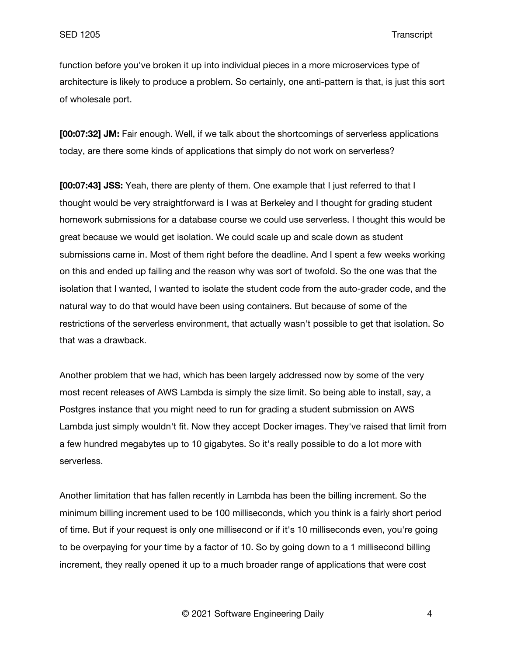function before you've broken it up into individual pieces in a more microservices type of architecture is likely to produce a problem. So certainly, one anti-pattern is that, is just this sort of wholesale port.

**[00:07:32] JM:** Fair enough. Well, if we talk about the shortcomings of serverless applications today, are there some kinds of applications that simply do not work on serverless?

**[00:07:43] JSS:** Yeah, there are plenty of them. One example that I just referred to that I thought would be very straightforward is I was at Berkeley and I thought for grading student homework submissions for a database course we could use serverless. I thought this would be great because we would get isolation. We could scale up and scale down as student submissions came in. Most of them right before the deadline. And I spent a few weeks working on this and ended up failing and the reason why was sort of twofold. So the one was that the isolation that I wanted, I wanted to isolate the student code from the auto-grader code, and the natural way to do that would have been using containers. But because of some of the restrictions of the serverless environment, that actually wasn't possible to get that isolation. So that was a drawback.

Another problem that we had, which has been largely addressed now by some of the very most recent releases of AWS Lambda is simply the size limit. So being able to install, say, a Postgres instance that you might need to run for grading a student submission on AWS Lambda just simply wouldn't fit. Now they accept Docker images. They've raised that limit from a few hundred megabytes up to 10 gigabytes. So it's really possible to do a lot more with serverless.

Another limitation that has fallen recently in Lambda has been the billing increment. So the minimum billing increment used to be 100 milliseconds, which you think is a fairly short period of time. But if your request is only one millisecond or if it's 10 milliseconds even, you're going to be overpaying for your time by a factor of 10. So by going down to a 1 millisecond billing increment, they really opened it up to a much broader range of applications that were cost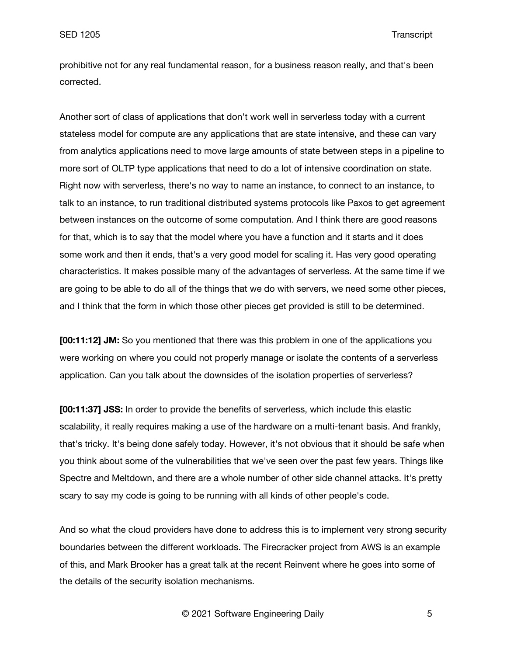prohibitive not for any real fundamental reason, for a business reason really, and that's been corrected.

Another sort of class of applications that don't work well in serverless today with a current stateless model for compute are any applications that are state intensive, and these can vary from analytics applications need to move large amounts of state between steps in a pipeline to more sort of OLTP type applications that need to do a lot of intensive coordination on state. Right now with serverless, there's no way to name an instance, to connect to an instance, to talk to an instance, to run traditional distributed systems protocols like Paxos to get agreement between instances on the outcome of some computation. And I think there are good reasons for that, which is to say that the model where you have a function and it starts and it does some work and then it ends, that's a very good model for scaling it. Has very good operating characteristics. It makes possible many of the advantages of serverless. At the same time if we are going to be able to do all of the things that we do with servers, we need some other pieces, and I think that the form in which those other pieces get provided is still to be determined.

**[00:11:12] JM:** So you mentioned that there was this problem in one of the applications you were working on where you could not properly manage or isolate the contents of a serverless application. Can you talk about the downsides of the isolation properties of serverless?

**[00:11:37] JSS:** In order to provide the benefits of serverless, which include this elastic scalability, it really requires making a use of the hardware on a multi-tenant basis. And frankly, that's tricky. It's being done safely today. However, it's not obvious that it should be safe when you think about some of the vulnerabilities that we've seen over the past few years. Things like Spectre and Meltdown, and there are a whole number of other side channel attacks. It's pretty scary to say my code is going to be running with all kinds of other people's code.

And so what the cloud providers have done to address this is to implement very strong security boundaries between the different workloads. The Firecracker project from AWS is an example of this, and Mark Brooker has a great talk at the recent Reinvent where he goes into some of the details of the security isolation mechanisms.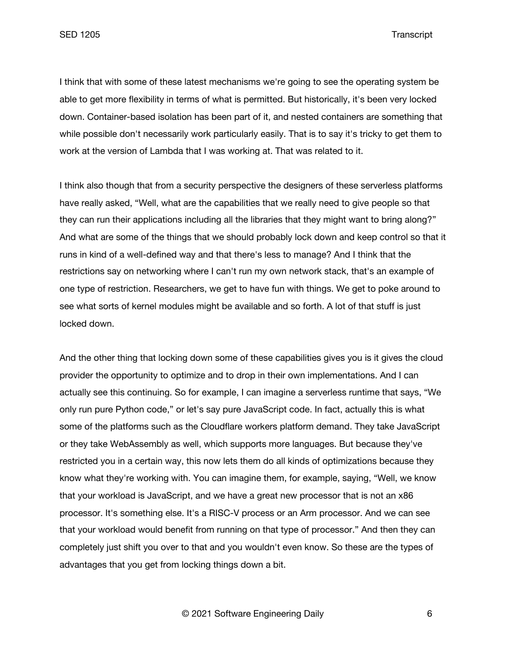I think that with some of these latest mechanisms we're going to see the operating system be able to get more flexibility in terms of what is permitted. But historically, it's been very locked down. Container-based isolation has been part of it, and nested containers are something that while possible don't necessarily work particularly easily. That is to say it's tricky to get them to work at the version of Lambda that I was working at. That was related to it.

I think also though that from a security perspective the designers of these serverless platforms have really asked, "Well, what are the capabilities that we really need to give people so that they can run their applications including all the libraries that they might want to bring along?" And what are some of the things that we should probably lock down and keep control so that it runs in kind of a well-defined way and that there's less to manage? And I think that the restrictions say on networking where I can't run my own network stack, that's an example of one type of restriction. Researchers, we get to have fun with things. We get to poke around to see what sorts of kernel modules might be available and so forth. A lot of that stuff is just locked down.

And the other thing that locking down some of these capabilities gives you is it gives the cloud provider the opportunity to optimize and to drop in their own implementations. And I can actually see this continuing. So for example, I can imagine a serverless runtime that says, "We only run pure Python code," or let's say pure JavaScript code. In fact, actually this is what some of the platforms such as the Cloudflare workers platform demand. They take JavaScript or they take WebAssembly as well, which supports more languages. But because they've restricted you in a certain way, this now lets them do all kinds of optimizations because they know what they're working with. You can imagine them, for example, saying, "Well, we know that your workload is JavaScript, and we have a great new processor that is not an x86 processor. It's something else. It's a RISC-V process or an Arm processor. And we can see that your workload would benefit from running on that type of processor." And then they can completely just shift you over to that and you wouldn't even know. So these are the types of advantages that you get from locking things down a bit.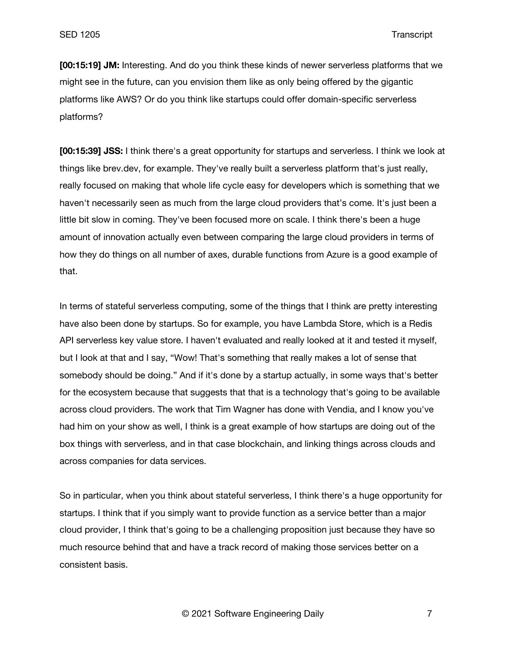**[00:15:19] JM:** Interesting. And do you think these kinds of newer serverless platforms that we might see in the future, can you envision them like as only being offered by the gigantic platforms like AWS? Or do you think like startups could offer domain-specific serverless platforms?

**[00:15:39] JSS:** I think there's a great opportunity for startups and serverless. I think we look at things like brev.dev, for example. They've really built a serverless platform that's just really, really focused on making that whole life cycle easy for developers which is something that we haven't necessarily seen as much from the large cloud providers that's come. It's just been a little bit slow in coming. They've been focused more on scale. I think there's been a huge amount of innovation actually even between comparing the large cloud providers in terms of how they do things on all number of axes, durable functions from Azure is a good example of that.

In terms of stateful serverless computing, some of the things that I think are pretty interesting have also been done by startups. So for example, you have Lambda Store, which is a Redis API serverless key value store. I haven't evaluated and really looked at it and tested it myself, but I look at that and I say, "Wow! That's something that really makes a lot of sense that somebody should be doing." And if it's done by a startup actually, in some ways that's better for the ecosystem because that suggests that that is a technology that's going to be available across cloud providers. The work that Tim Wagner has done with Vendia, and I know you've had him on your show as well, I think is a great example of how startups are doing out of the box things with serverless, and in that case blockchain, and linking things across clouds and across companies for data services.

So in particular, when you think about stateful serverless, I think there's a huge opportunity for startups. I think that if you simply want to provide function as a service better than a major cloud provider, I think that's going to be a challenging proposition just because they have so much resource behind that and have a track record of making those services better on a consistent basis.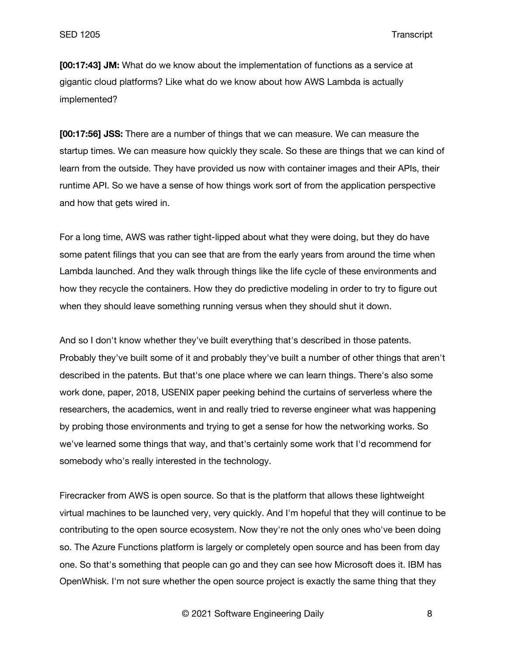**[00:17:43] JM:** What do we know about the implementation of functions as a service at gigantic cloud platforms? Like what do we know about how AWS Lambda is actually implemented?

**[00:17:56] JSS:** There are a number of things that we can measure. We can measure the startup times. We can measure how quickly they scale. So these are things that we can kind of learn from the outside. They have provided us now with container images and their APIs, their runtime API. So we have a sense of how things work sort of from the application perspective and how that gets wired in.

For a long time, AWS was rather tight-lipped about what they were doing, but they do have some patent filings that you can see that are from the early years from around the time when Lambda launched. And they walk through things like the life cycle of these environments and how they recycle the containers. How they do predictive modeling in order to try to figure out when they should leave something running versus when they should shut it down.

And so I don't know whether they've built everything that's described in those patents. Probably they've built some of it and probably they've built a number of other things that aren't described in the patents. But that's one place where we can learn things. There's also some work done, paper, 2018, USENIX paper peeking behind the curtains of serverless where the researchers, the academics, went in and really tried to reverse engineer what was happening by probing those environments and trying to get a sense for how the networking works. So we've learned some things that way, and that's certainly some work that I'd recommend for somebody who's really interested in the technology.

Firecracker from AWS is open source. So that is the platform that allows these lightweight virtual machines to be launched very, very quickly. And I'm hopeful that they will continue to be contributing to the open source ecosystem. Now they're not the only ones who've been doing so. The Azure Functions platform is largely or completely open source and has been from day one. So that's something that people can go and they can see how Microsoft does it. IBM has OpenWhisk. I'm not sure whether the open source project is exactly the same thing that they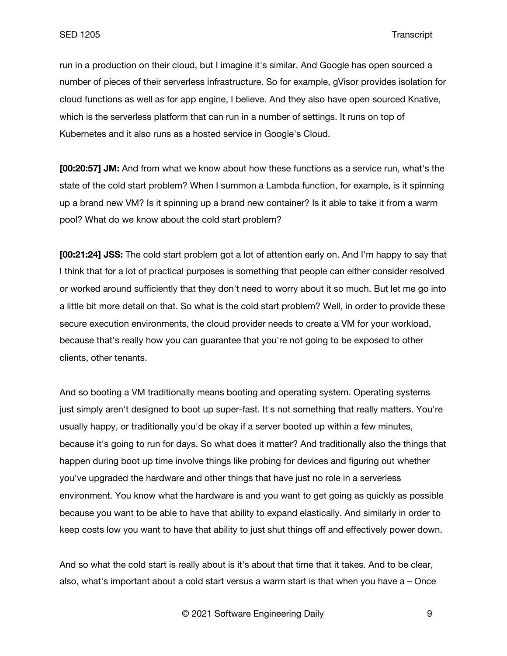run in a production on their cloud, but I imagine it's similar. And Google has open sourced a number of pieces of their serverless infrastructure. So for example, gVisor provides isolation for cloud functions as well as for app engine, I believe. And they also have open sourced Knative, which is the serverless platform that can run in a number of settings. It runs on top of Kubernetes and it also runs as a hosted service in Google's Cloud.

**[00:20:57] JM:** And from what we know about how these functions as a service run, what's the state of the cold start problem? When I summon a Lambda function, for example, is it spinning up a brand new VM? Is it spinning up a brand new container? Is it able to take it from a warm pool? What do we know about the cold start problem?

**[00:21:24] JSS:** The cold start problem got a lot of attention early on. And I'm happy to say that I think that for a lot of practical purposes is something that people can either consider resolved or worked around sufficiently that they don't need to worry about it so much. But let me go into a little bit more detail on that. So what is the cold start problem? Well, in order to provide these secure execution environments, the cloud provider needs to create a VM for your workload, because that's really how you can guarantee that you're not going to be exposed to other clients, other tenants.

And so booting a VM traditionally means booting and operating system. Operating systems just simply aren't designed to boot up super-fast. It's not something that really matters. You're usually happy, or traditionally you'd be okay if a server booted up within a few minutes, because it's going to run for days. So what does it matter? And traditionally also the things that happen during boot up time involve things like probing for devices and figuring out whether you've upgraded the hardware and other things that have just no role in a serverless environment. You know what the hardware is and you want to get going as quickly as possible because you want to be able to have that ability to expand elastically. And similarly in order to keep costs low you want to have that ability to just shut things off and effectively power down.

And so what the cold start is really about is it's about that time that it takes. And to be clear, also, what's important about a cold start versus a warm start is that when you have a – Once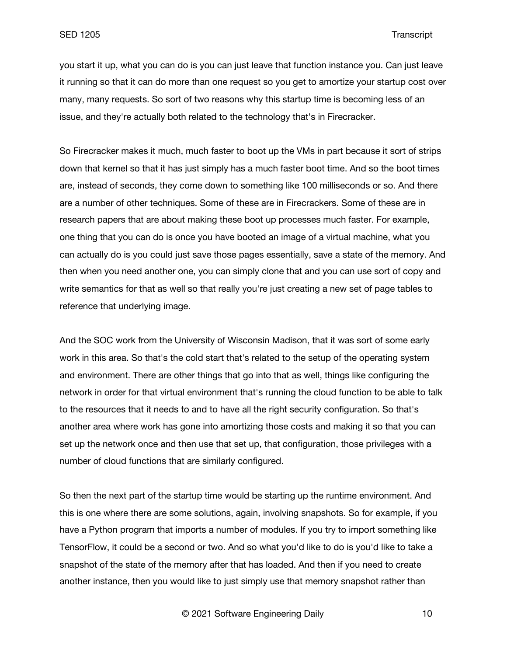you start it up, what you can do is you can just leave that function instance you. Can just leave it running so that it can do more than one request so you get to amortize your startup cost over many, many requests. So sort of two reasons why this startup time is becoming less of an issue, and they're actually both related to the technology that's in Firecracker.

So Firecracker makes it much, much faster to boot up the VMs in part because it sort of strips down that kernel so that it has just simply has a much faster boot time. And so the boot times are, instead of seconds, they come down to something like 100 milliseconds or so. And there are a number of other techniques. Some of these are in Firecrackers. Some of these are in research papers that are about making these boot up processes much faster. For example, one thing that you can do is once you have booted an image of a virtual machine, what you can actually do is you could just save those pages essentially, save a state of the memory. And then when you need another one, you can simply clone that and you can use sort of copy and write semantics for that as well so that really you're just creating a new set of page tables to reference that underlying image.

And the SOC work from the University of Wisconsin Madison, that it was sort of some early work in this area. So that's the cold start that's related to the setup of the operating system and environment. There are other things that go into that as well, things like configuring the network in order for that virtual environment that's running the cloud function to be able to talk to the resources that it needs to and to have all the right security configuration. So that's another area where work has gone into amortizing those costs and making it so that you can set up the network once and then use that set up, that configuration, those privileges with a number of cloud functions that are similarly configured.

So then the next part of the startup time would be starting up the runtime environment. And this is one where there are some solutions, again, involving snapshots. So for example, if you have a Python program that imports a number of modules. If you try to import something like TensorFlow, it could be a second or two. And so what you'd like to do is you'd like to take a snapshot of the state of the memory after that has loaded. And then if you need to create another instance, then you would like to just simply use that memory snapshot rather than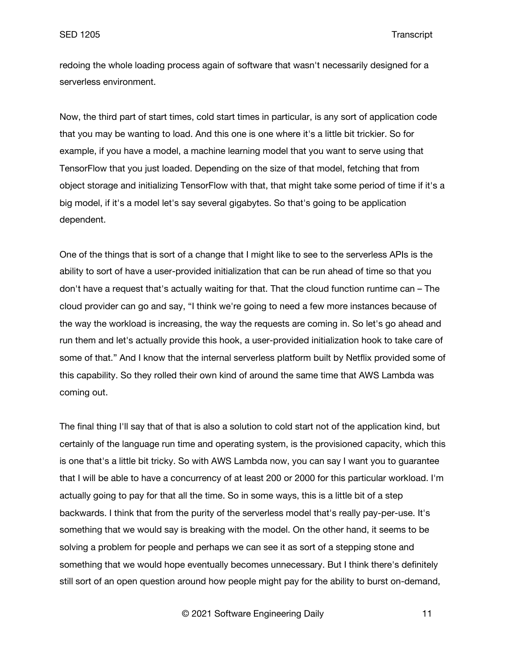redoing the whole loading process again of software that wasn't necessarily designed for a serverless environment.

Now, the third part of start times, cold start times in particular, is any sort of application code that you may be wanting to load. And this one is one where it's a little bit trickier. So for example, if you have a model, a machine learning model that you want to serve using that TensorFlow that you just loaded. Depending on the size of that model, fetching that from object storage and initializing TensorFlow with that, that might take some period of time if it's a big model, if it's a model let's say several gigabytes. So that's going to be application dependent.

One of the things that is sort of a change that I might like to see to the serverless APIs is the ability to sort of have a user-provided initialization that can be run ahead of time so that you don't have a request that's actually waiting for that. That the cloud function runtime can – The cloud provider can go and say, "I think we're going to need a few more instances because of the way the workload is increasing, the way the requests are coming in. So let's go ahead and run them and let's actually provide this hook, a user-provided initialization hook to take care of some of that." And I know that the internal serverless platform built by Netflix provided some of this capability. So they rolled their own kind of around the same time that AWS Lambda was coming out.

The final thing I'll say that of that is also a solution to cold start not of the application kind, but certainly of the language run time and operating system, is the provisioned capacity, which this is one that's a little bit tricky. So with AWS Lambda now, you can say I want you to guarantee that I will be able to have a concurrency of at least 200 or 2000 for this particular workload. I'm actually going to pay for that all the time. So in some ways, this is a little bit of a step backwards. I think that from the purity of the serverless model that's really pay-per-use. It's something that we would say is breaking with the model. On the other hand, it seems to be solving a problem for people and perhaps we can see it as sort of a stepping stone and something that we would hope eventually becomes unnecessary. But I think there's definitely still sort of an open question around how people might pay for the ability to burst on-demand,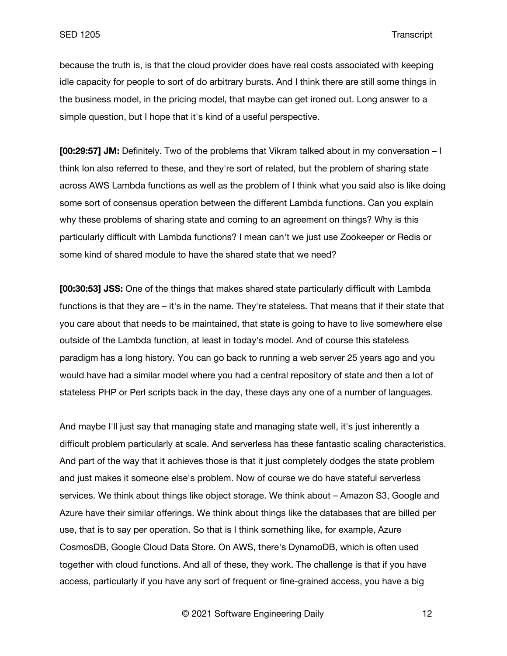because the truth is, is that the cloud provider does have real costs associated with keeping idle capacity for people to sort of do arbitrary bursts. And I think there are still some things in the business model, in the pricing model, that maybe can get ironed out. Long answer to a simple question, but I hope that it's kind of a useful perspective.

**[00:29:57] JM:** Definitely. Two of the problems that Vikram talked about in my conversation – I think Ion also referred to these, and they're sort of related, but the problem of sharing state across AWS Lambda functions as well as the problem of I think what you said also is like doing some sort of consensus operation between the different Lambda functions. Can you explain why these problems of sharing state and coming to an agreement on things? Why is this particularly difficult with Lambda functions? I mean can't we just use Zookeeper or Redis or some kind of shared module to have the shared state that we need?

**[00:30:53] JSS:** One of the things that makes shared state particularly difficult with Lambda functions is that they are – it's in the name. They're stateless. That means that if their state that you care about that needs to be maintained, that state is going to have to live somewhere else outside of the Lambda function, at least in today's model. And of course this stateless paradigm has a long history. You can go back to running a web server 25 years ago and you would have had a similar model where you had a central repository of state and then a lot of stateless PHP or Perl scripts back in the day, these days any one of a number of languages.

And maybe I'll just say that managing state and managing state well, it's just inherently a difficult problem particularly at scale. And serverless has these fantastic scaling characteristics. And part of the way that it achieves those is that it just completely dodges the state problem and just makes it someone else's problem. Now of course we do have stateful serverless services. We think about things like object storage. We think about – Amazon S3, Google and Azure have their similar offerings. We think about things like the databases that are billed per use, that is to say per operation. So that is I think something like, for example, Azure CosmosDB, Google Cloud Data Store. On AWS, there's DynamoDB, which is often used together with cloud functions. And all of these, they work. The challenge is that if you have access, particularly if you have any sort of frequent or fine-grained access, you have a big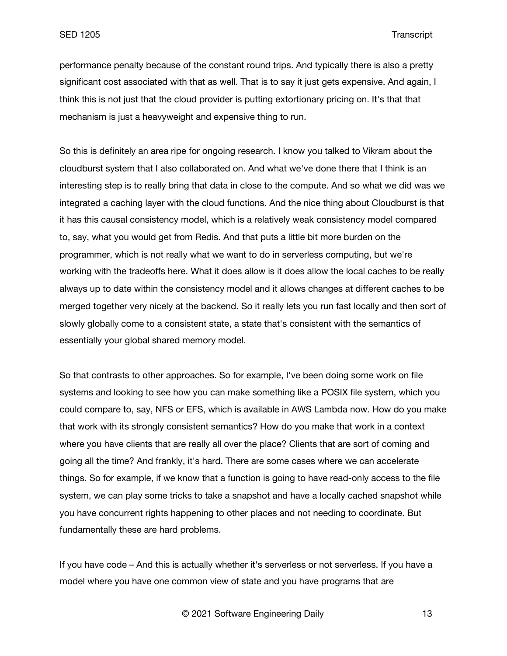performance penalty because of the constant round trips. And typically there is also a pretty significant cost associated with that as well. That is to say it just gets expensive. And again, I think this is not just that the cloud provider is putting extortionary pricing on. It's that that mechanism is just a heavyweight and expensive thing to run.

So this is definitely an area ripe for ongoing research. I know you talked to Vikram about the cloudburst system that I also collaborated on. And what we've done there that I think is an interesting step is to really bring that data in close to the compute. And so what we did was we integrated a caching layer with the cloud functions. And the nice thing about Cloudburst is that it has this causal consistency model, which is a relatively weak consistency model compared to, say, what you would get from Redis. And that puts a little bit more burden on the programmer, which is not really what we want to do in serverless computing, but we're working with the tradeoffs here. What it does allow is it does allow the local caches to be really always up to date within the consistency model and it allows changes at different caches to be merged together very nicely at the backend. So it really lets you run fast locally and then sort of slowly globally come to a consistent state, a state that's consistent with the semantics of essentially your global shared memory model.

So that contrasts to other approaches. So for example, I've been doing some work on file systems and looking to see how you can make something like a POSIX file system, which you could compare to, say, NFS or EFS, which is available in AWS Lambda now. How do you make that work with its strongly consistent semantics? How do you make that work in a context where you have clients that are really all over the place? Clients that are sort of coming and going all the time? And frankly, it's hard. There are some cases where we can accelerate things. So for example, if we know that a function is going to have read-only access to the file system, we can play some tricks to take a snapshot and have a locally cached snapshot while you have concurrent rights happening to other places and not needing to coordinate. But fundamentally these are hard problems.

If you have code – And this is actually whether it's serverless or not serverless. If you have a model where you have one common view of state and you have programs that are

© 2021 Software Engineering Daily 13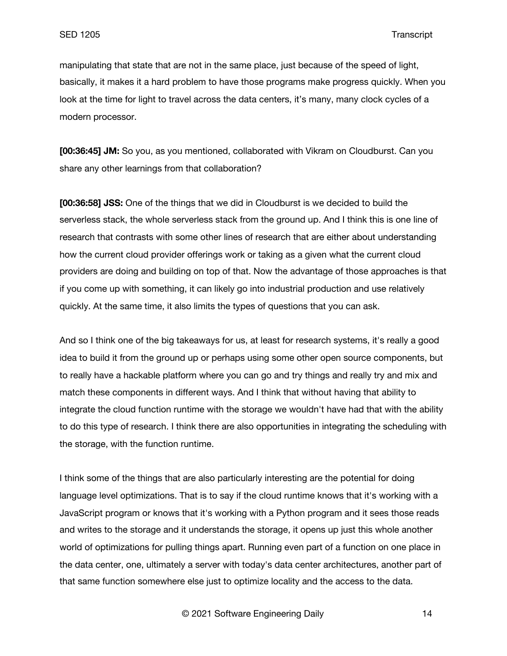manipulating that state that are not in the same place, just because of the speed of light, basically, it makes it a hard problem to have those programs make progress quickly. When you look at the time for light to travel across the data centers, it's many, many clock cycles of a modern processor.

**[00:36:45] JM:** So you, as you mentioned, collaborated with Vikram on Cloudburst. Can you share any other learnings from that collaboration?

**[00:36:58] JSS:** One of the things that we did in Cloudburst is we decided to build the serverless stack, the whole serverless stack from the ground up. And I think this is one line of research that contrasts with some other lines of research that are either about understanding how the current cloud provider offerings work or taking as a given what the current cloud providers are doing and building on top of that. Now the advantage of those approaches is that if you come up with something, it can likely go into industrial production and use relatively quickly. At the same time, it also limits the types of questions that you can ask.

And so I think one of the big takeaways for us, at least for research systems, it's really a good idea to build it from the ground up or perhaps using some other open source components, but to really have a hackable platform where you can go and try things and really try and mix and match these components in different ways. And I think that without having that ability to integrate the cloud function runtime with the storage we wouldn't have had that with the ability to do this type of research. I think there are also opportunities in integrating the scheduling with the storage, with the function runtime.

I think some of the things that are also particularly interesting are the potential for doing language level optimizations. That is to say if the cloud runtime knows that it's working with a JavaScript program or knows that it's working with a Python program and it sees those reads and writes to the storage and it understands the storage, it opens up just this whole another world of optimizations for pulling things apart. Running even part of a function on one place in the data center, one, ultimately a server with today's data center architectures, another part of that same function somewhere else just to optimize locality and the access to the data.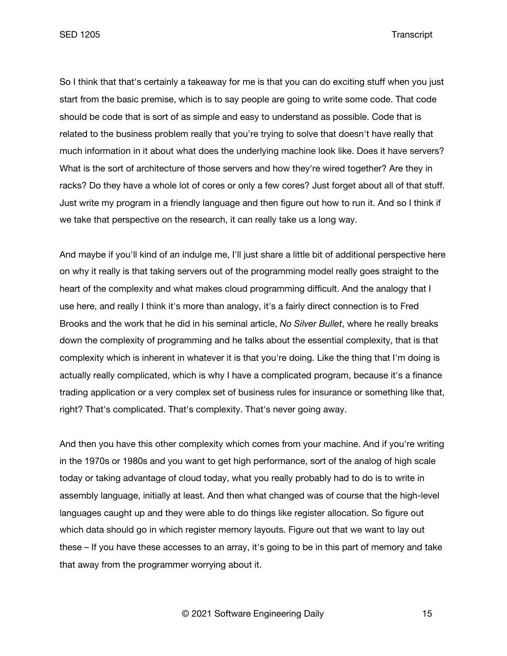SED 1205 Transcript

So I think that that's certainly a takeaway for me is that you can do exciting stuff when you just start from the basic premise, which is to say people are going to write some code. That code should be code that is sort of as simple and easy to understand as possible. Code that is related to the business problem really that you're trying to solve that doesn't have really that much information in it about what does the underlying machine look like. Does it have servers? What is the sort of architecture of those servers and how they're wired together? Are they in racks? Do they have a whole lot of cores or only a few cores? Just forget about all of that stuff. Just write my program in a friendly language and then figure out how to run it. And so I think if we take that perspective on the research, it can really take us a long way.

And maybe if you'll kind of an indulge me, I'll just share a little bit of additional perspective here on why it really is that taking servers out of the programming model really goes straight to the heart of the complexity and what makes cloud programming difficult. And the analogy that I use here, and really I think it's more than analogy, it's a fairly direct connection is to Fred Brooks and the work that he did in his seminal article, *No Silver Bullet*, where he really breaks down the complexity of programming and he talks about the essential complexity, that is that complexity which is inherent in whatever it is that you're doing. Like the thing that I'm doing is actually really complicated, which is why I have a complicated program, because it's a finance trading application or a very complex set of business rules for insurance or something like that, right? That's complicated. That's complexity. That's never going away.

And then you have this other complexity which comes from your machine. And if you're writing in the 1970s or 1980s and you want to get high performance, sort of the analog of high scale today or taking advantage of cloud today, what you really probably had to do is to write in assembly language, initially at least. And then what changed was of course that the high-level languages caught up and they were able to do things like register allocation. So figure out which data should go in which register memory layouts. Figure out that we want to lay out these – If you have these accesses to an array, it's going to be in this part of memory and take that away from the programmer worrying about it.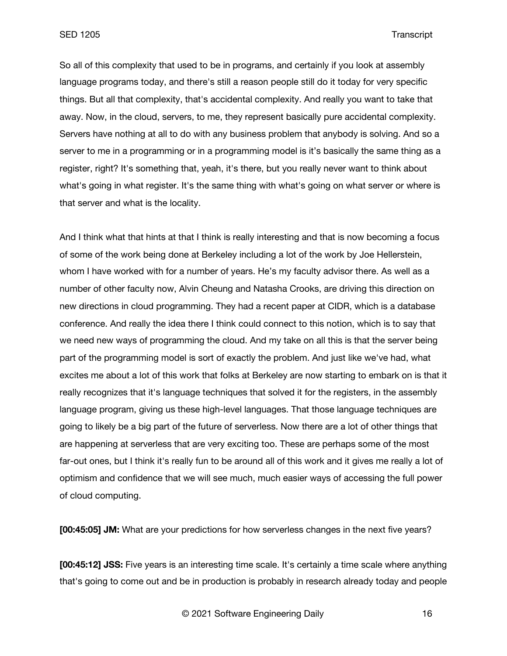SED 1205 Transcript

So all of this complexity that used to be in programs, and certainly if you look at assembly language programs today, and there's still a reason people still do it today for very specific things. But all that complexity, that's accidental complexity. And really you want to take that away. Now, in the cloud, servers, to me, they represent basically pure accidental complexity. Servers have nothing at all to do with any business problem that anybody is solving. And so a server to me in a programming or in a programming model is it's basically the same thing as a register, right? It's something that, yeah, it's there, but you really never want to think about what's going in what register. It's the same thing with what's going on what server or where is that server and what is the locality.

And I think what that hints at that I think is really interesting and that is now becoming a focus of some of the work being done at Berkeley including a lot of the work by Joe Hellerstein, whom I have worked with for a number of years. He's my faculty advisor there. As well as a number of other faculty now, Alvin Cheung and Natasha Crooks, are driving this direction on new directions in cloud programming. They had a recent paper at CIDR, which is a database conference. And really the idea there I think could connect to this notion, which is to say that we need new ways of programming the cloud. And my take on all this is that the server being part of the programming model is sort of exactly the problem. And just like we've had, what excites me about a lot of this work that folks at Berkeley are now starting to embark on is that it really recognizes that it's language techniques that solved it for the registers, in the assembly language program, giving us these high-level languages. That those language techniques are going to likely be a big part of the future of serverless. Now there are a lot of other things that are happening at serverless that are very exciting too. These are perhaps some of the most far-out ones, but I think it's really fun to be around all of this work and it gives me really a lot of optimism and confidence that we will see much, much easier ways of accessing the full power of cloud computing.

**[00:45:05] JM:** What are your predictions for how serverless changes in the next five years?

**[00:45:12] JSS:** Five years is an interesting time scale. It's certainly a time scale where anything that's going to come out and be in production is probably in research already today and people

© 2021 Software Engineering Daily 16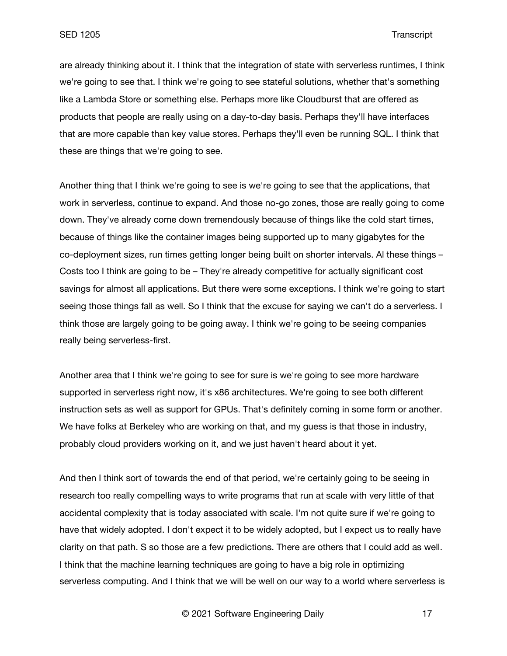are already thinking about it. I think that the integration of state with serverless runtimes, I think we're going to see that. I think we're going to see stateful solutions, whether that's something like a Lambda Store or something else. Perhaps more like Cloudburst that are offered as products that people are really using on a day-to-day basis. Perhaps they'll have interfaces that are more capable than key value stores. Perhaps they'll even be running SQL. I think that these are things that we're going to see.

Another thing that I think we're going to see is we're going to see that the applications, that work in serverless, continue to expand. And those no-go zones, those are really going to come down. They've already come down tremendously because of things like the cold start times, because of things like the container images being supported up to many gigabytes for the co-deployment sizes, run times getting longer being built on shorter intervals. Al these things – Costs too I think are going to be – They're already competitive for actually significant cost savings for almost all applications. But there were some exceptions. I think we're going to start seeing those things fall as well. So I think that the excuse for saying we can't do a serverless. I think those are largely going to be going away. I think we're going to be seeing companies really being serverless-first.

Another area that I think we're going to see for sure is we're going to see more hardware supported in serverless right now, it's x86 architectures. We're going to see both different instruction sets as well as support for GPUs. That's definitely coming in some form or another. We have folks at Berkeley who are working on that, and my guess is that those in industry, probably cloud providers working on it, and we just haven't heard about it yet.

And then I think sort of towards the end of that period, we're certainly going to be seeing in research too really compelling ways to write programs that run at scale with very little of that accidental complexity that is today associated with scale. I'm not quite sure if we're going to have that widely adopted. I don't expect it to be widely adopted, but I expect us to really have clarity on that path. S so those are a few predictions. There are others that I could add as well. I think that the machine learning techniques are going to have a big role in optimizing serverless computing. And I think that we will be well on our way to a world where serverless is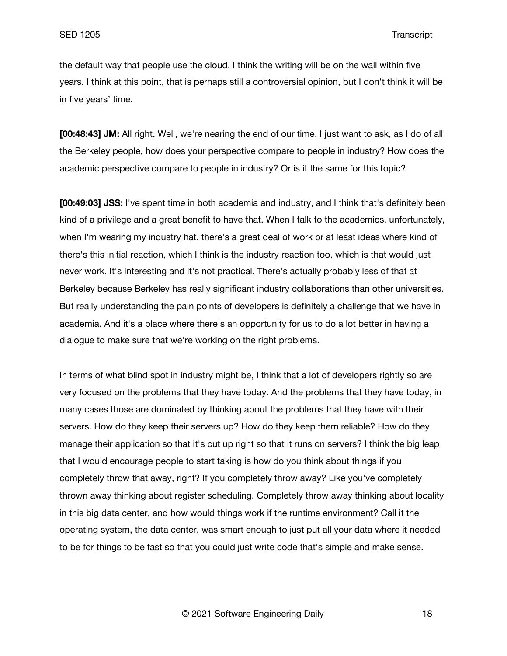the default way that people use the cloud. I think the writing will be on the wall within five years. I think at this point, that is perhaps still a controversial opinion, but I don't think it will be in five years' time.

**[00:48:43] JM:** All right. Well, we're nearing the end of our time. I just want to ask, as I do of all the Berkeley people, how does your perspective compare to people in industry? How does the academic perspective compare to people in industry? Or is it the same for this topic?

**[00:49:03] JSS:** I've spent time in both academia and industry, and I think that's definitely been kind of a privilege and a great benefit to have that. When I talk to the academics, unfortunately, when I'm wearing my industry hat, there's a great deal of work or at least ideas where kind of there's this initial reaction, which I think is the industry reaction too, which is that would just never work. It's interesting and it's not practical. There's actually probably less of that at Berkeley because Berkeley has really significant industry collaborations than other universities. But really understanding the pain points of developers is definitely a challenge that we have in academia. And it's a place where there's an opportunity for us to do a lot better in having a dialogue to make sure that we're working on the right problems.

In terms of what blind spot in industry might be, I think that a lot of developers rightly so are very focused on the problems that they have today. And the problems that they have today, in many cases those are dominated by thinking about the problems that they have with their servers. How do they keep their servers up? How do they keep them reliable? How do they manage their application so that it's cut up right so that it runs on servers? I think the big leap that I would encourage people to start taking is how do you think about things if you completely throw that away, right? If you completely throw away? Like you've completely thrown away thinking about register scheduling. Completely throw away thinking about locality in this big data center, and how would things work if the runtime environment? Call it the operating system, the data center, was smart enough to just put all your data where it needed to be for things to be fast so that you could just write code that's simple and make sense.